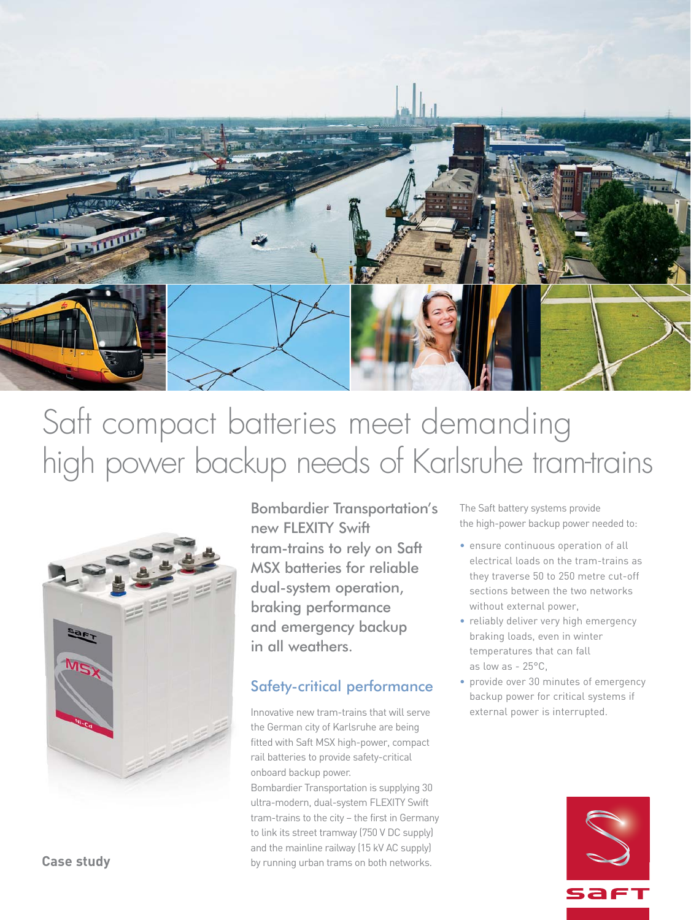

# Saft compact batteries meet demanding high power backup needs of Karlsruhe tram-trains



Bombardier Transportation's new FLEXITY Swift tram-trains to rely on Saft MSX batteries for reliable dual-system operation, braking performance and emergency backup in all weathers.

## Safety-critical performance

Innovative new tram-trains that will serve the German city of Karlsruhe are being fitted with Saft MSX high-power, compact rail batteries to provide safety-critical onboard backup power.

Bombardier Transportation is supplying 30 ultra-modern, dual-system FLEXITY Swift tram-trains to the city – the first in Germany to link its street tramway (750 V DC supply) and the mainline railway (15 kV AC supply) by running urban trams on both networks.

The Saft battery systems provide the high-power backup power needed to:

- ensure continuous operation of all electrical loads on the tram-trains as they traverse 50 to 250 metre cut-off sections between the two networks without external power,
- reliably deliver very high emergency braking loads, even in winter temperatures that can fall as low as - 25°C,
- provide over 30 minutes of emergency backup power for critical systems if external power is interrupted.



**Case study**